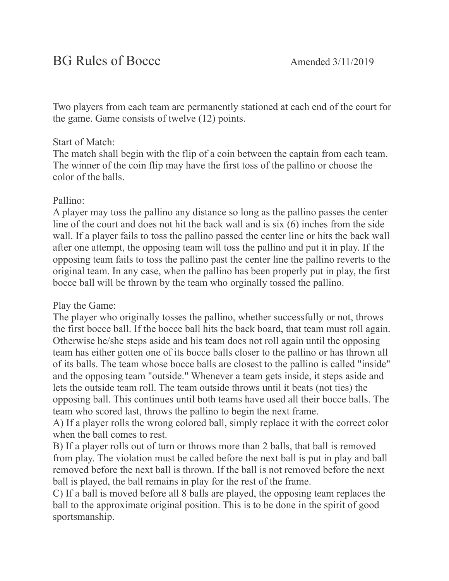Two players from each team are permanently stationed at each end of the court for the game. Game consists of twelve (12) points.

### Start of Match:

The match shall begin with the flip of a coin between the captain from each team. The winner of the coin flip may have the first toss of the pallino or choose the color of the balls.

### Pallino:

A player may toss the pallino any distance so long as the pallino passes the center line of the court and does not hit the back wall and is six (6) inches from the side wall. If a player fails to toss the pallino passed the center line or hits the back wall after one attempt, the opposing team will toss the pallino and put it in play. If the opposing team fails to toss the pallino past the center line the pallino reverts to the original team. In any case, when the pallino has been properly put in play, the first bocce ball will be thrown by the team who orginally tossed the pallino.

# Play the Game:

The player who originally tosses the pallino, whether successfully or not, throws the first bocce ball. If the bocce ball hits the back board, that team must roll again. Otherwise he/she steps aside and his team does not roll again until the opposing team has either gotten one of its bocce balls closer to the pallino or has thrown all of its balls. The team whose bocce balls are closest to the pallino is called "inside" and the opposing team "outside." Whenever a team gets inside, it steps aside and lets the outside team roll. The team outside throws until it beats (not ties) the opposing ball. This continues until both teams have used all their bocce balls. The team who scored last, throws the pallino to begin the next frame.

A) If a player rolls the wrong colored ball, simply replace it with the correct color when the ball comes to rest.

B) If a player rolls out of turn or throws more than 2 balls, that ball is removed from play. The violation must be called before the next ball is put in play and ball removed before the next ball is thrown. If the ball is not removed before the next ball is played, the ball remains in play for the rest of the frame.

C) If a ball is moved before all 8 balls are played, the opposing team replaces the ball to the approximate original position. This is to be done in the spirit of good sportsmanship.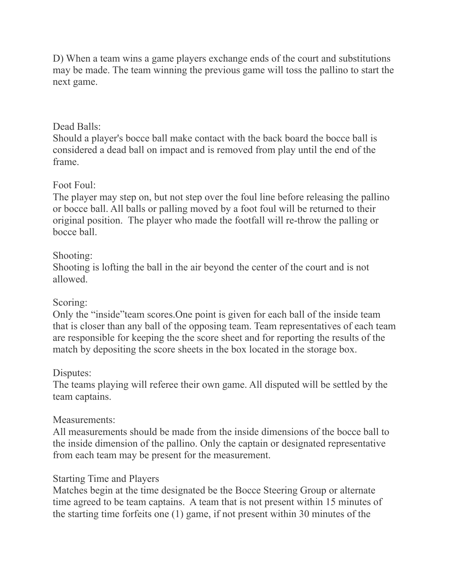D) When a team wins a game players exchange ends of the court and substitutions may be made. The team winning the previous game will toss the pallino to start the next game.

### Dead Balls:

Should a player's bocce ball make contact with the back board the bocce ball is considered a dead ball on impact and is removed from play until the end of the frame.

### Foot Foul:

The player may step on, but not step over the foul line before releasing the pallino or bocce ball. All balls or palling moved by a foot foul will be returned to their original position. The player who made the footfall will re-throw the palling or bocce ball.

### Shooting:

Shooting is lofting the ball in the air beyond the center of the court and is not allowed.

### Scoring:

Only the "inside"team scores.One point is given for each ball of the inside team that is closer than any ball of the opposing team. Team representatives of each team are responsible for keeping the the score sheet and for reporting the results of the match by depositing the score sheets in the box located in the storage box.

# Disputes:

The teams playing will referee their own game. All disputed will be settled by the team captains.

# Measurements:

All measurements should be made from the inside dimensions of the bocce ball to the inside dimension of the pallino. Only the captain or designated representative from each team may be present for the measurement.

# Starting Time and Players

Matches begin at the time designated be the Bocce Steering Group or alternate time agreed to be team captains. A team that is not present within 15 minutes of the starting time forfeits one (1) game, if not present within 30 minutes of the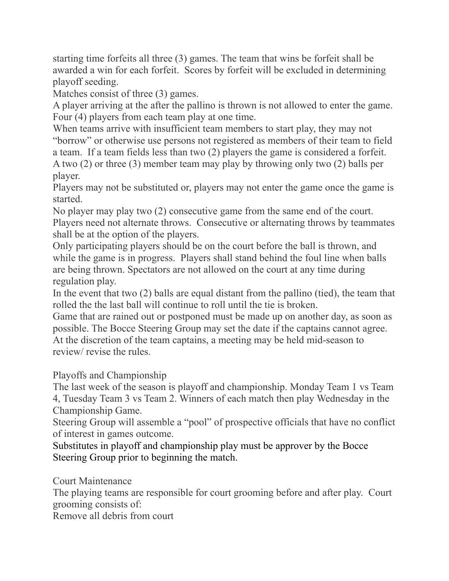starting time forfeits all three (3) games. The team that wins be forfeit shall be awarded a win for each forfeit. Scores by forfeit will be excluded in determining playoff seeding.

Matches consist of three (3) games.

A player arriving at the after the pallino is thrown is not allowed to enter the game. Four (4) players from each team play at one time.

When teams arrive with insufficient team members to start play, they may not "borrow" or otherwise use persons not registered as members of their team to field a team. If a team fields less than two (2) players the game is considered a forfeit. A two (2) or three (3) member team may play by throwing only two (2) balls per player.

Players may not be substituted or, players may not enter the game once the game is started.

No player may play two (2) consecutive game from the same end of the court. Players need not alternate throws. Consecutive or alternating throws by teammates shall be at the option of the players.

Only participating players should be on the court before the ball is thrown, and while the game is in progress. Players shall stand behind the foul line when balls are being thrown. Spectators are not allowed on the court at any time during regulation play.

In the event that two (2) balls are equal distant from the pallino (tied), the team that rolled the the last ball will continue to roll until the tie is broken.

Game that are rained out or postponed must be made up on another day, as soon as possible. The Bocce Steering Group may set the date if the captains cannot agree. At the discretion of the team captains, a meeting may be held mid-season to review/ revise the rules.

Playoffs and Championship

The last week of the season is playoff and championship. Monday Team 1 vs Team 4, Tuesday Team 3 vs Team 2. Winners of each match then play Wednesday in the Championship Game.

Steering Group will assemble a "pool" of prospective officials that have no conflict of interest in games outcome.

Substitutes in playoff and championship play must be approver by the Bocce Steering Group prior to beginning the match.

Court Maintenance

The playing teams are responsible for court grooming before and after play. Court grooming consists of:

Remove all debris from court